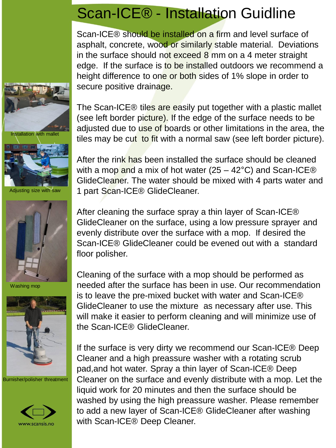## Scan-ICE® - Installation Guidline

Scan-ICE® should be installed on a firm and level surface of asphalt, concrete, wood or similarly stable material. Deviations in the surface should not exceed 8 mm on a 4 meter straight edge. If the surface is to be installed outdoors we recommend a height difference to one or both sides of 1% slope in order to secure positive drainage.

The Scan-ICE® tiles are easily put together with a plastic mallet (see left border picture). If the edge of the surface needs to be adjusted due to use of boards or other limitations in the area, the tiles may be cut to fit with a normal saw (see left border picture).

After the rink has been installed the surface should be cleaned with a mop and a mix of hot water  $(25 - 42^{\circ}C)$  and Scan-ICE® GlideCleaner. The water should be mixed with 4 parts water and 1 part Scan-ICE® GlideCleaner.

After cleaning the surface spray a thin layer of Scan-ICE® GlideCleaner on the surface, using a low pressure sprayer and evenly distribute over the surface with a mop. If desired the Scan-ICE® GlideCleaner could be evened out with a standard floor polisher.

Cleaning of the surface with a mop should be performed as needed after the surface has been in use. Our recommendation is to leave the pre-mixed bucket with water and Scan-ICE® GlideCleaner to use the mixture as necessary after use. This will make it easier to perform cleaning and will minimize use of the Scan-ICE® GlideCleaner.

If the surface is very dirty we recommend our Scan-ICE® Deep Cleaner and a high preassure washer with a rotating scrub pad,and hot water. Spray a thin layer of Scan-ICE® Deep Cleaner on the surface and evenly distribute with a mop. Let the liquid work for 20 minutes and then the surface should be washed by using the high preassure washer. Please remember to add a new layer of Scan-ICE® GlideCleaner after washing with Scan-ICE® Deep Cleaner.





Adjusting size with saw



Washing mop



Burnisher/polisher threatment